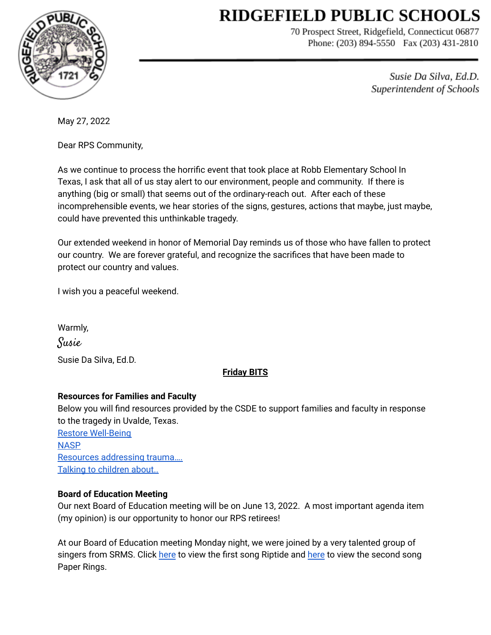# **RIDGEFIELD PUBLIC SCHOOLS**



70 Prospect Street, Ridgefield, Connecticut 06877 Phone: (203) 894-5550 Fax (203) 431-2810

> Susie Da Silva, Ed.D. Superintendent of Schools

May 27, 2022

Dear RPS Community,

As we continue to process the horrific event that took place at Robb Elementary School In Texas, I ask that all of us stay alert to our environment, people and community. If there is anything (big or small) that seems out of the ordinary-reach out. After each of these incomprehensible events, we hear stories of the signs, gestures, actions that maybe, just maybe, could have prevented this unthinkable tragedy.

Our extended weekend in honor of Memorial Day reminds us of those who have fallen to protect our country. We are forever grateful, and recognize the sacrifices that have been made to protect our country and values.

I wish you a peaceful weekend.

Warmly, Susie Susie Da Silva, Ed.D.

# **Friday BITS**

## **Resources for Families and Faculty**

Below you will find resources provided by the CSDE to support families and faculty in response to the tragedy in Uvalde, Texas.

Restore [Well-Being](https://drive.google.com/file/d/158hG36vF1-KYxzJyhZak2w7SW0-hu0lD/view?usp=sharing) **[NASP](https://drive.google.com/file/d/1JHcxFygr-OqDPYf9BxtvXNlmnUILeb_F/view?usp=sharing)** Resources [addressing](https://drive.google.com/file/d/1IO4KkvCdUWOOGmHlxZ2-gytdahb_CCT0/view?usp=sharing) trauma…. Talking to [children](https://drive.google.com/file/d/1C4nYBFg895dHnxdOJDfj5oSE3-082ent/view?usp=sharing) about...

# **Board of Education Meeting**

Our next Board of Education meeting will be on June 13, 2022. A most important agenda item (my opinion) is our opportunity to honor our RPS retirees!

At our Board of Education meeting Monday night, we were joined by a very talented group of singers from SRMS. Click [here](https://drive.google.com/file/d/1vN0gwyflcPcT91Py2QG0mHcpgWGDUCpH/view?usp=sharing) to view the first song Riptide and here to view the second song Paper Rings.